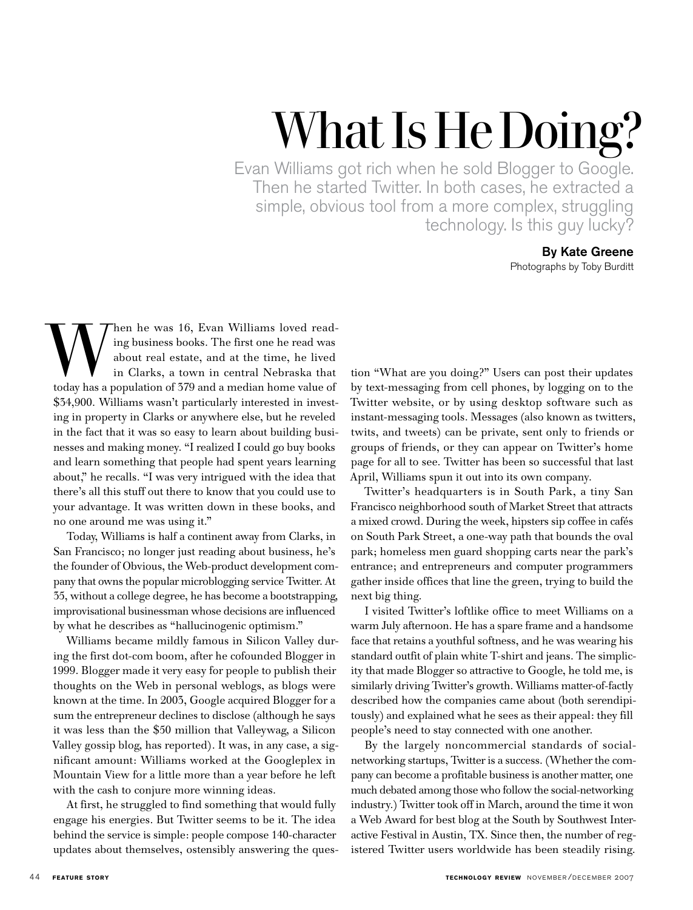# What Is He Doing?

Evan Williams got rich when he sold Blogger to Google. Then he started Twitter. In both cases, he extracted a simple, obvious tool from a more complex, struggling technology. Is this guy lucky?

### By Kate Greene Photographs by Toby Burditt

When he was 16, Evan Williams loved read-<br>ing business books. The first one he read was<br>about real estate, and at the time, he lived<br>in Clarks, a town in central Nebraska that<br>today has a population of 579 and a median hom ing business books. The first one he read was about real estate, and at the time, he lived in Clarks, a town in central Nebraska that today has a population of 379 and a median home value of \$34,900. Williams wasn't particularly interested in investing in property in Clarks or anywhere else, but he reveled in the fact that it was so easy to learn about building businesses and making money. "I realized I could go buy books and learn something that people had spent years learning about," he recalls. "I was very intrigued with the idea that there's all this stuff out there to know that you could use to your advantage. It was written down in these books, and no one around me was using it."

Today, Williams is half a continent away from Clarks, in San Francisco; no longer just reading about business, he's the founder of Obvious, the Web-product development company that owns the popular microblogging service Twitter. At 35, without a college degree, he has become a bootstrapping, improvisational businessman whose decisions are influenced by what he describes as "hallucinogenic optimism."

Williams became mildly famous in Silicon Valley during the first dot-com boom, after he cofounded Blogger in 1999. Blogger made it very easy for people to publish their thoughts on the Web in personal weblogs, as blogs were known at the time. In 2003, Google acquired Blogger for a sum the entrepreneur declines to disclose (although he says it was less than the \$50 million that Valleywag, a Silicon Valley gossip blog, has reported). It was, in any case, a significant amount: Williams worked at the Googleplex in Mountain View for a little more than a year before he left with the cash to conjure more winning ideas.

At first, he struggled to find something that would fully engage his energies. But Twitter seems to be it. The idea behind the service is simple: people compose 140-character updates about themselves, ostensibly answering the ques-

tion "What are you doing?" Users can post their updates by text-messaging from cell phones, by logging on to the Twitter website, or by using desktop software such as instant-messaging tools. Messages (also known as twitters, twits, and tweets) can be private, sent only to friends or groups of friends, or they can appear on Twitter's home page for all to see. Twitter has been so successful that last April, Williams spun it out into its own company.

Twitter's headquarters is in South Park, a tiny San Francisco neighborhood south of Market Street that attracts a mixed crowd. During the week, hipsters sip coffee in cafés on South Park Street, a one-way path that bounds the oval park; homeless men guard shopping carts near the park's entrance; and entrepreneurs and computer programmers gather inside offices that line the green, trying to build the next big thing.

I visited Twitter's loftlike office to meet Williams on a warm July afternoon. He has a spare frame and a handsome face that retains a youthful softness, and he was wearing his standard outfit of plain white T-shirt and jeans. The simplicity that made Blogger so attractive to Google, he told me, is similarly driving Twitter's growth. Williams matter-of-factly described how the companies came about (both serendipitously) and explained what he sees as their appeal: they fill people's need to stay connected with one another.

By the largely noncommercial standards of socialnetworking startups, Twitter is a success. (Whether the company can become a profitable business is another matter, one much debated among those who follow the social-networking industry.) Twitter took off in March, around the time it won a Web Award for best blog at the South by Southwest Interactive Festival in Austin, TX. Since then, the number of registered Twitter users worldwide has been steadily rising.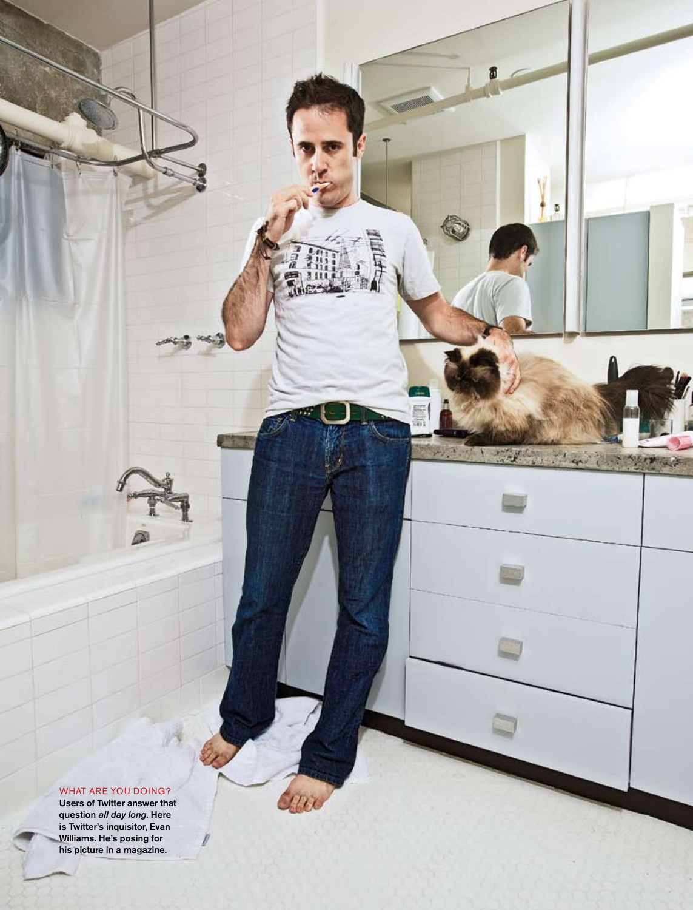#### WHAT ARE YOU DOING?

 $\bigcap$ 

Users of Twitter answer that question *all day long*. Here is Twitter's inquisitor, Evan Williams. He's posing for his picture in a magazine.

**technology review** novembe

/december 2007 **feature story** 45

面

 $7.1.4$ 

X **Card الموارد** 

**FILES** 

 $100$ 

**Redistri** с.,

 $\overline{\Phi}$ 

Marit Company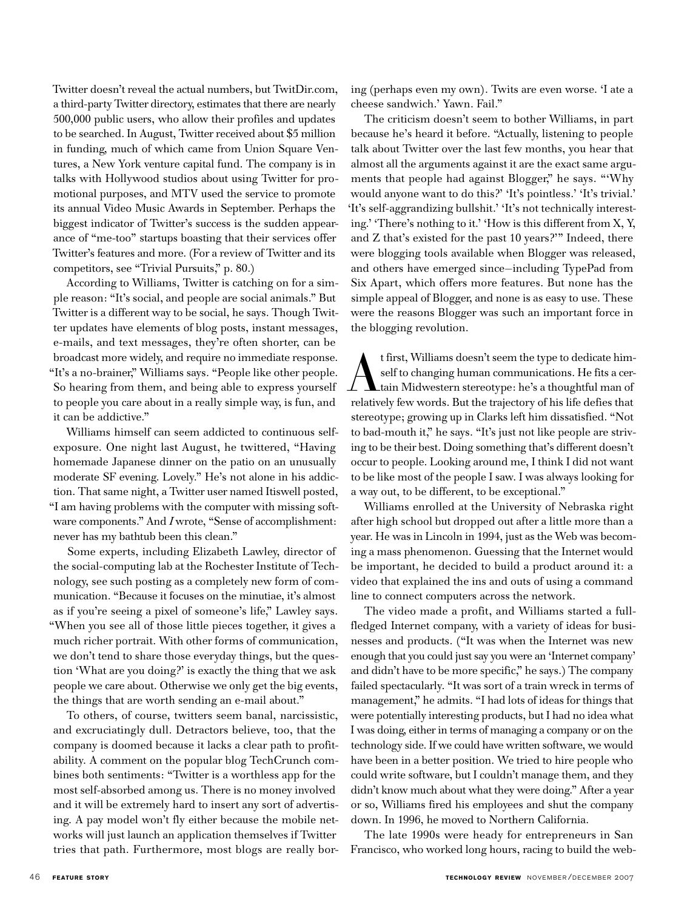Twitter doesn't reveal the actual numbers, but TwitDir.com, a third-party Twitter directory, estimates that there are nearly 500,000 public users, who allow their profiles and updates to be searched. In August, Twitter received about \$5 million in funding, much of which came from Union Square Ventures, a New York venture capital fund. The company is in talks with Hollywood studios about using Twitter for promotional purposes, and MTV used the service to promote its annual Video Music Awards in September. Perhaps the biggest indicator of Twitter's success is the sudden appearance of "me-too" startups boasting that their services offer Twitter's features and more. (For a review of Twitter and its competitors, see "Trivial Pursuits," p. 80.)

According to Williams, Twitter is catching on for a simple reason: "It's social, and people are social animals." But Twitter is a different way to be social, he says. Though Twitter updates have elements of blog posts, instant messages, e-mails, and text messages, they're often shorter, can be broadcast more widely, and require no immediate response. "It's a no-brainer," Williams says. "People like other people. So hearing from them, and being able to express yourself to people you care about in a really simple way, is fun, and it can be addictive."

Williams himself can seem addicted to continuous selfexposure. One night last August, he twittered, "Having homemade Japanese dinner on the patio on an unusually moderate SF evening. Lovely." He's not alone in his addiction. That same night, a Twitter user named Itiswell posted, "I am having problems with the computer with missing software components." And *I* wrote, "Sense of accomplishment: never has my bathtub been this clean."

Some experts, including Elizabeth Lawley, director of the social-computing lab at the Rochester Institute of Technology, see such posting as a completely new form of communication. "Because it focuses on the minutiae, it's almost as if you're seeing a pixel of someone's life," Lawley says. "When you see all of those little pieces together, it gives a much richer portrait. With other forms of communication, we don't tend to share those everyday things, but the question 'What are you doing?' is exactly the thing that we ask people we care about. Otherwise we only get the big events, the things that are worth sending an e-mail about."

To others, of course, twitters seem banal, narcissistic, and excruciatingly dull. Detractors believe, too, that the company is doomed because it lacks a clear path to profitability. A comment on the popular blog TechCrunch combines both sentiments: "Twitter is a worthless app for the most self-absorbed among us. There is no money involved and it will be extremely hard to insert any sort of advertising. A pay model won't fly either because the mobile networks will just launch an application themselves if Twitter tries that path. Furthermore, most blogs are really boring (perhaps even my own). Twits are even worse. 'I ate a cheese sandwich.' Yawn. Fail."

The criticism doesn't seem to bother Williams, in part because he's heard it before. "Actually, listening to people talk about Twitter over the last few months, you hear that almost all the arguments against it are the exact same arguments that people had against Blogger," he says. "'Why would anyone want to do this?' 'It's pointless.' 'It's trivial.' 'It's self-aggrandizing bullshit.' 'It's not technically interesting.' 'There's nothing to it.' 'How is this different from X, Y, and Z that's existed for the past 10 years?'" Indeed, there were blogging tools available when Blogger was released, and others have emerged since—including TypePad from Six Apart, which offers more features. But none has the simple appeal of Blogger, and none is as easy to use. These were the reasons Blogger was such an important force in the blogging revolution.

 $\sum_{\text{self to changing human communications}}$  first, Williams doesn't seem the type to dedicate him-<br>self to changing human communications. He fits a cer-<br>tain Midwestern stereotype: he's a thoughtful man of self to changing human communications. He fits a certain Midwestern stereotype: he's a thoughtful man of relatively few words. But the trajectory of his life defies that stereotype; growing up in Clarks left him dissatisfied. "Not to bad-mouth it," he says. "It's just not like people are striving to be their best. Doing something that's different doesn't occur to people. Looking around me, I think I did not want to be like most of the people I saw. I was always looking for a way out, to be different, to be exceptional."

Williams enrolled at the University of Nebraska right after high school but dropped out after a little more than a year. He was in Lincoln in 1994, just as the Web was becoming a mass phenomenon. Guessing that the Internet would be important, he decided to build a product around it: a video that explained the ins and outs of using a command line to connect computers across the network.

The video made a profit, and Williams started a fullfledged Internet company, with a variety of ideas for businesses and products. ("It was when the Internet was new enough that you could just say you were an 'Internet company' and didn't have to be more specific," he says.) The company failed spectacularly. "It was sort of a train wreck in terms of management," he admits. "I had lots of ideas for things that were potentially interesting products, but I had no idea what I was doing, either in terms of managing a company or on the technology side. If we could have written software, we would have been in a better position. We tried to hire people who could write software, but I couldn't manage them, and they didn't know much about what they were doing." After a year or so, Williams fired his employees and shut the company down. In 1996, he moved to Northern California.

The late 1990s were heady for entrepreneurs in San Francisco, who worked long hours, racing to build the web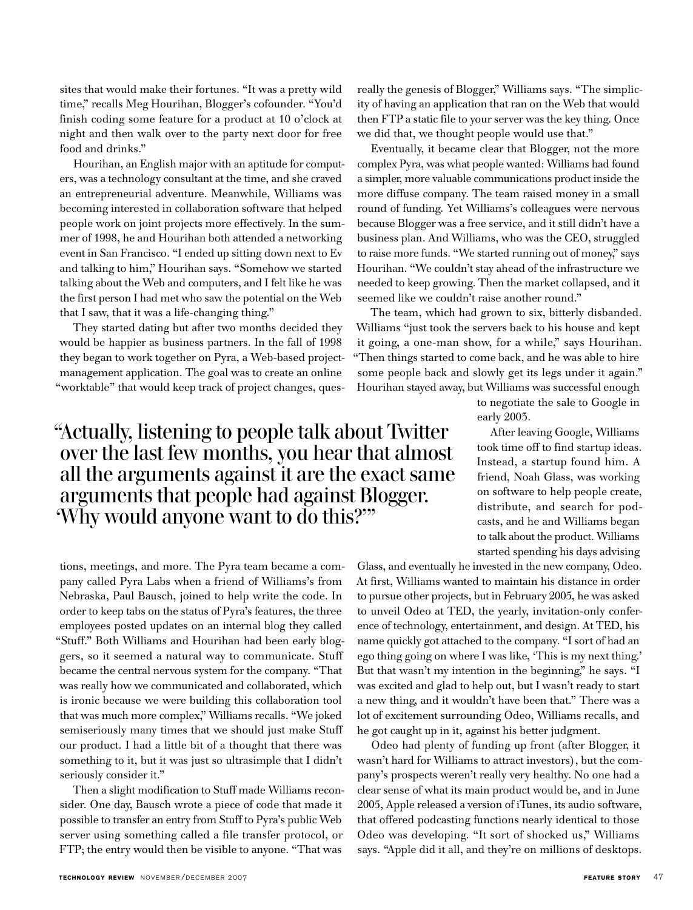sites that would make their fortunes. "It was a pretty wild time," recalls Meg Hourihan, Blogger's cofounder. "You'd finish coding some feature for a product at 10 o'clock at night and then walk over to the party next door for free food and drinks."

Hourihan, an English major with an aptitude for computers, was a technology consultant at the time, and she craved an entrepreneurial adventure. Meanwhile, Williams was becoming interested in collaboration software that helped people work on joint projects more effectively. In the summer of 1998, he and Hourihan both attended a networking event in San Francisco. "I ended up sitting down next to Ev and talking to him," Hourihan says. "Somehow we started talking about the Web and computers, and I felt like he was the first person I had met who saw the potential on the Web that I saw, that it was a life-changing thing."

They started dating but after two months decided they would be happier as business partners. In the fall of 1998 they began to work together on Pyra, a Web-based projectmanagement application. The goal was to create an online "worktable" that would keep track of project changes, quesreally the genesis of Blogger," Williams says. "The simplicity of having an application that ran on the Web that would then FTP a static file to your server was the key thing. Once we did that, we thought people would use that."

Eventually, it became clear that Blogger, not the more complex Pyra, was what people wanted: Williams had found a simpler, more valuable communications product inside the more diffuse company. The team raised money in a small round of funding. Yet Williams's colleagues were nervous because Blogger was a free service, and it still didn't have a business plan. And Williams, who was the CEO, struggled to raise more funds. "We started running out of money," says Hourihan. "We couldn't stay ahead of the infrastructure we needed to keep growing. Then the market collapsed, and it seemed like we couldn't raise another round."

The team, which had grown to six, bitterly disbanded. Williams "just took the servers back to his house and kept it going, a one-man show, for a while," says Hourihan. "Then things started to come back, and he was able to hire some people back and slowly get its legs under it again." Hourihan stayed away, but Williams was successful enough

> to negotiate the sale to Google in early 2003.

## "Actually, listening to people talk about Twitter over the last few months, you hear that almost all the arguments against it are the exact same arguments that people had against Blogger. 'Why would anyone want to do this?'"

tions, meetings, and more. The Pyra team became a company called Pyra Labs when a friend of Williams's from Nebraska, Paul Bausch, joined to help write the code. In order to keep tabs on the status of Pyra's features, the three employees posted updates on an internal blog they called "Stuff." Both Williams and Hourihan had been early bloggers, so it seemed a natural way to communicate. Stuff became the central nervous system for the company. "That was really how we communicated and collaborated, which is ironic because we were building this collaboration tool that was much more complex," Williams recalls. "We joked semiseriously many times that we should just make Stuff our product. I had a little bit of a thought that there was something to it, but it was just so ultrasimple that I didn't seriously consider it."

Then a slight modification to Stuff made Williams reconsider. One day, Bausch wrote a piece of code that made it possible to transfer an entry from Stuff to Pyra's public Web server using something called a file transfer protocol, or FTP; the entry would then be visible to anyone. "That was

After leaving Google, Williams took time off to find startup ideas. Instead, a startup found him. A friend, Noah Glass, was working on software to help people create, distribute, and search for podcasts, and he and Williams began to talk about the product. Williams started spending his days advising

Glass, and eventually he invested in the new company, Odeo. At first, Williams wanted to maintain his distance in order to pursue other projects, but in February 2005, he was asked to unveil Odeo at TED, the yearly, invitation-only conference of technology, entertainment, and design. At TED, his name quickly got attached to the company. "I sort of had an ego thing going on where I was like, 'This is my next thing.' But that wasn't my intention in the beginning," he says. "I was excited and glad to help out, but I wasn't ready to start a new thing, and it wouldn't have been that." There was a lot of excitement surrounding Odeo, Williams recalls, and he got caught up in it, against his better judgment.

Odeo had plenty of funding up front (after Blogger, it wasn't hard for Williams to attract investors), but the company's prospects weren't really very healthy. No one had a clear sense of what its main product would be, and in June 2005, Apple released a version of iTunes, its audio software, that offered podcasting functions nearly identical to those Odeo was developing. "It sort of shocked us," Williams says. "Apple did it all, and they're on millions of desktops.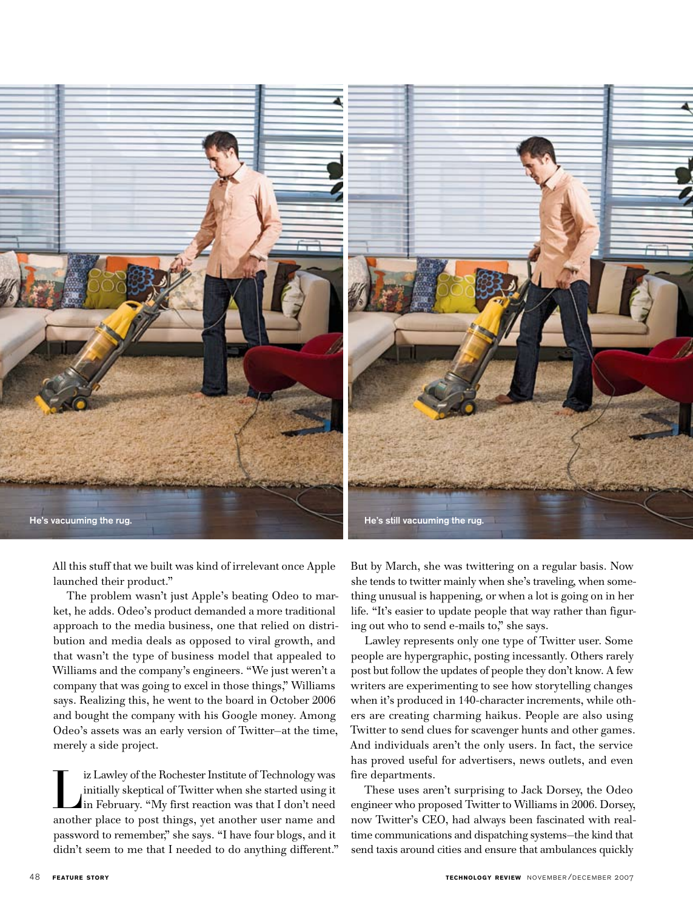

All this stuff that we built was kind of irrelevant once Apple launched their product."

The problem wasn't just Apple's beating Odeo to market, he adds. Odeo's product demanded a more traditional approach to the media business, one that relied on distribution and media deals as opposed to viral growth, and that wasn't the type of business model that appealed to Williams and the company's engineers. "We just weren't a company that was going to excel in those things," Williams says. Realizing this, he went to the board in October 2006 and bought the company with his Google money. Among Odeo's assets was an early version of Twitter—at the time, merely a side project.

Iz Lawley of the Rochester Institute of Technology was<br>
initially skeptical of Twitter when she started using it<br>
in February. "My first reaction was that I don't need<br>
another place to need things, and another user name a initially skeptical of Twitter when she started using it another place to post things, yet another user name and password to remember," she says. "I have four blogs, and it didn't seem to me that I needed to do anything different."

But by March, she was twittering on a regular basis. Now she tends to twitter mainly when she's traveling, when something unusual is happening, or when a lot is going on in her life. "It's easier to update people that way rather than figuring out who to send e-mails to," she says.

Lawley represents only one type of Twitter user. Some people are hypergraphic, posting incessantly. Others rarely post but follow the updates of people they don't know. A few writers are experimenting to see how storytelling changes when it's produced in 140-character increments, while others are creating charming haikus. People are also using Twitter to send clues for scavenger hunts and other games. And individuals aren't the only users. In fact, the service has proved useful for advertisers, news outlets, and even fire departments.

These uses aren't surprising to Jack Dorsey, the Odeo engineer who proposed Twitter to Williams in 2006. Dorsey, now Twitter's CEO, had always been fascinated with realtime communications and dispatching systems—the kind that send taxis around cities and ensure that ambulances quickly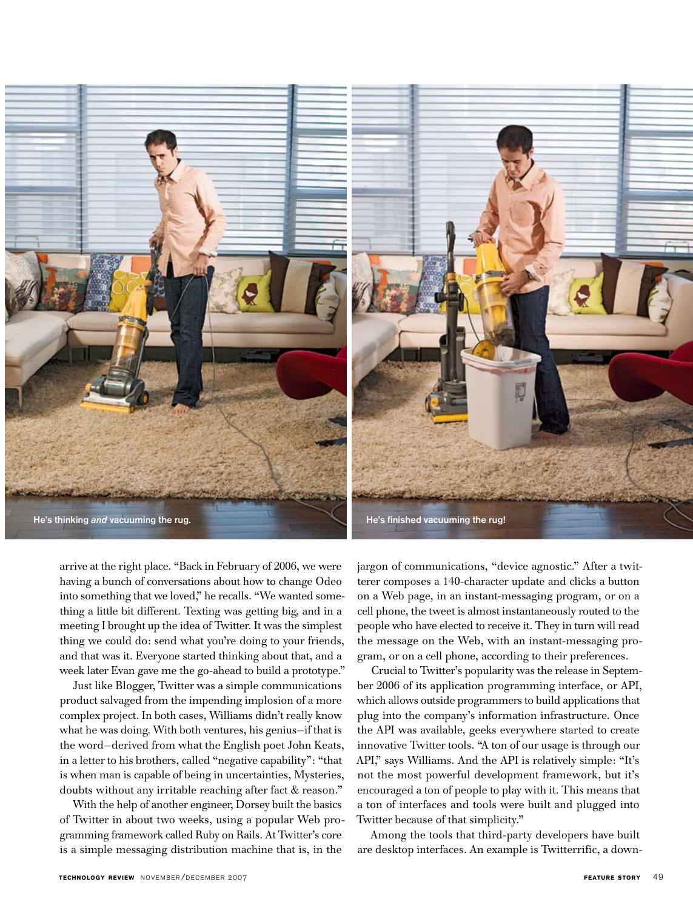

arrive at the right place. "Back in February of 2006, we were having a bunch of conversations about how to change Odeo into something that we loved," he recalls. "We wanted something a little bit different. Texting was getting big, and in a meeting I brought up the idea of Twitter. It was the simplest thing we could do: send what you're doing to your friends, and that was it. Everyone started thinking about that, and a week later Evan gave me the go-ahead to build a prototype."

Just like Blogger, Twitter was a simple communications product salvaged from the impending implosion of a more complex project. In both cases, Williams didn't really know what he was doing. With both ventures, his genius—if that is the word—derived from what the English poet John Keats, in a letter to his brothers, called "negative capability": "that is when man is capable of being in uncertainties, Mysteries, doubts without any irritable reaching after fact & reason."

With the help of another engineer, Dorsey built the basics of Twitter in about two weeks, using a popular Web programming framework called Ruby on Rails. At Twitter's core is a simple messaging distribution machine that is, in the

jargon of communications, "device agnostic." After a twitterer composes a 140-character update and clicks a button on a Web page, in an instant-messaging program, or on a cell phone, the tweet is almost instantaneously routed to the people who have elected to receive it. They in turn will read the message on the Web, with an instant-messaging program, or on a cell phone, according to their preferences.

Crucial to Twitter's popularity was the release in September 2006 of its application programming interface, or API, which allows outside programmers to build applications that plug into the company's information infrastructure. Once the API was available, geeks everywhere started to create innovative Twitter tools. "A ton of our usage is through our API," says Williams. And the API is relatively simple: "It's not the most powerful development framework, but it's encouraged a ton of people to play with it. This means that a ton of interfaces and tools were built and plugged into Twitter because of that simplicity."

Among the tools that third-party developers have built are desktop interfaces. An example is Twitterrific, a down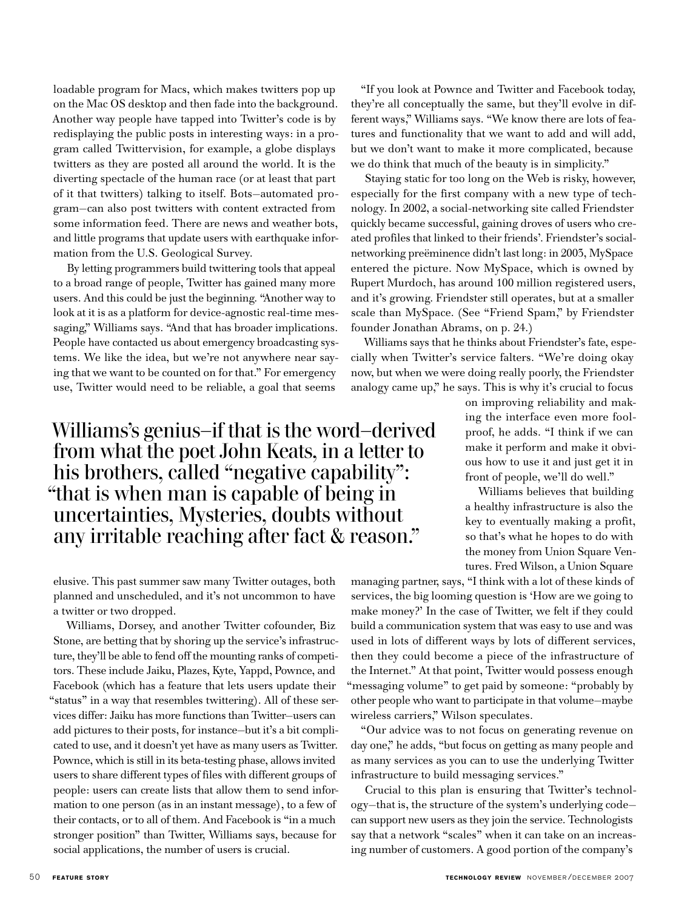loadable program for Macs, which makes twitters pop up on the Mac OS desktop and then fade into the background. Another way people have tapped into Twitter's code is by redisplaying the public posts in interesting ways: in a program called Twittervision, for example, a globe displays twitters as they are posted all around the world. It is the diverting spectacle of the human race (or at least that part of it that twitters) talking to itself. Bots—automated program—can also post twitters with content extracted from some information feed. There are news and weather bots, and little programs that update users with earthquake information from the U.S. Geological Survey.

By letting programmers build twittering tools that appeal to a broad range of people, Twitter has gained many more users. And this could be just the beginning. "Another way to look at it is as a platform for device-agnostic real-time messaging," Williams says. "And that has broader implications. People have contacted us about emergency broadcasting systems. We like the idea, but we're not anywhere near saying that we want to be counted on for that." For emergency use, Twitter would need to be reliable, a goal that seems

## Williams's genius—if that is the word—derived from what the poet John Keats, in a letter to his brothers, called "negative capability": "that is when man is capable of being in uncertainties, Mysteries, doubts without any irritable reaching after fact & reason."

elusive. This past summer saw many Twitter outages, both planned and unscheduled, and it's not uncommon to have a twitter or two dropped.

Williams, Dorsey, and another Twitter cofounder, Biz Stone, are betting that by shoring up the service's infrastructure, they'll be able to fend off the mounting ranks of competitors. These include Jaiku, Plazes, Kyte, Yappd, Pownce, and Facebook (which has a feature that lets users update their "status" in a way that resembles twittering). All of these services differ: Jaiku has more functions than Twitter—users can add pictures to their posts, for instance—but it's a bit complicated to use, and it doesn't yet have as many users as Twitter. Pownce, which is still in its beta-testing phase, allows invited users to share different types of files with different groups of people: users can create lists that allow them to send information to one person (as in an instant message), to a few of their contacts, or to all of them. And Facebook is "in a much stronger position" than Twitter, Williams says, because for social applications, the number of users is crucial.

"If you look at Pownce and Twitter and Facebook today, they're all conceptually the same, but they'll evolve in different ways," Williams says. "We know there are lots of features and functionality that we want to add and will add, but we don't want to make it more complicated, because we do think that much of the beauty is in simplicity."

Staying static for too long on the Web is risky, however, especially for the first company with a new type of technology. In 2002, a social-networking site called Friendster quickly became successful, gaining droves of users who created profiles that linked to their friends'. Friendster's socialnetworking preëminence didn't last long: in 2003, MySpace entered the picture. Now MySpace, which is owned by Rupert Murdoch, has around 100 million registered users, and it's growing. Friendster still operates, but at a smaller scale than MySpace. (See "Friend Spam," by Friendster founder Jonathan Abrams, on p. 24.)

Williams says that he thinks about Friendster's fate, especially when Twitter's service falters. "We're doing okay now, but when we were doing really poorly, the Friendster analogy came up," he says. This is why it's crucial to focus

> on improving reliability and making the interface even more foolproof, he adds. "I think if we can make it perform and make it obvious how to use it and just get it in front of people, we'll do well."

> Williams believes that building a healthy infrastructure is also the key to eventually making a profit, so that's what he hopes to do with the money from Union Square Ventures. Fred Wilson, a Union Square

managing partner, says, "I think with a lot of these kinds of services, the big looming question is 'How are we going to make money?' In the case of Twitter, we felt if they could build a communication system that was easy to use and was used in lots of different ways by lots of different services, then they could become a piece of the infrastructure of the Internet." At that point, Twitter would possess enough "messaging volume" to get paid by someone: "probably by other people who want to participate in that volume—maybe wireless carriers," Wilson speculates.

"Our advice was to not focus on generating revenue on day one," he adds, "but focus on getting as many people and as many services as you can to use the underlying Twitter infrastructure to build messaging services."

Crucial to this plan is ensuring that Twitter's technology—that is, the structure of the system's underlying code can support new users as they join the service. Technologists say that a network "scales" when it can take on an increasing number of customers. A good portion of the company's